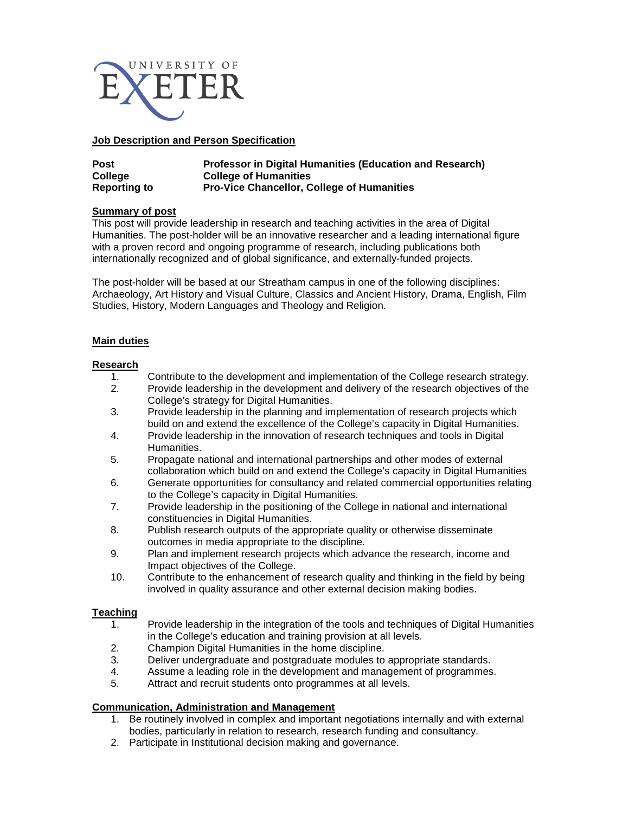

### **Job Description and Person Specification**

| <b>Post</b>         | <b>Professor in Digital Humanities (Education and Research)</b> |
|---------------------|-----------------------------------------------------------------|
| College             | <b>College of Humanities</b>                                    |
| <b>Reporting to</b> | <b>Pro-Vice Chancellor, College of Humanities</b>               |

# **Summary of post**

This post will provide leadership in research and teaching activities in the area of Digital Humanities. The post-holder will be an innovative researcher and a leading international figure with a proven record and ongoing programme of research, including publications both internationally recognized and of global significance, and externally-funded projects.

The post-holder will be based at our Streatham campus in one of the following disciplines: Archaeology, Art History and Visual Culture, Classics and Ancient History, Drama, English, Film Studies, History, Modern Languages and Theology and Religion.

# **Main duties**

# **Research**

- 1. Contribute to the development and implementation of the College research strategy.<br>2. Provide leadership in the development and delivery of the research objectives of the
- Provide leadership in the development and delivery of the research objectives of the College's strategy for Digital Humanities.
- 3. Provide leadership in the planning and implementation of research projects which build on and extend the excellence of the College's capacity in Digital Humanities.
- 4. Provide leadership in the innovation of research techniques and tools in Digital Humanities.
- 5. Propagate national and international partnerships and other modes of external collaboration which build on and extend the College's capacity in Digital Humanities
- 6. Generate opportunities for consultancy and related commercial opportunities relating to the College's capacity in Digital Humanities.
- 7. Provide leadership in the positioning of the College in national and international constituencies in Digital Humanities.
- 8. Publish research outputs of the appropriate quality or otherwise disseminate outcomes in media appropriate to the discipline.
- 9. Plan and implement research projects which advance the research, income and Impact objectives of the College.
- 10. Contribute to the enhancement of research quality and thinking in the field by being involved in quality assurance and other external decision making bodies.

# **Teaching**

- 1. Provide leadership in the integration of the tools and techniques of Digital Humanities in the College's education and training provision at all levels.
- 2. Champion Digital Humanities in the home discipline.
- 3. Deliver undergraduate and postgraduate modules to appropriate standards.<br>4. Assume a leading role in the development and management of programmes
- Assume a leading role in the development and management of programmes.
- 5. Attract and recruit students onto programmes at all levels.

### **Communication, Administration and Management**

- 1. Be routinely involved in complex and important negotiations internally and with external bodies, particularly in relation to research, research funding and consultancy.
- 2. Participate in Institutional decision making and governance.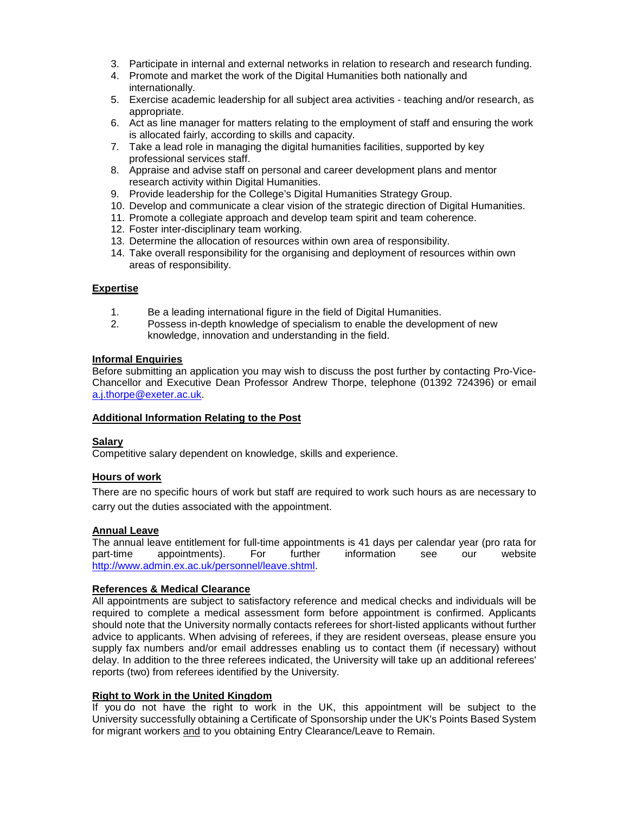- 3. Participate in internal and external networks in relation to research and research funding.
- 4. Promote and market the work of the Digital Humanities both nationally and internationally.
- 5. Exercise academic leadership for all subject area activities teaching and/or research, as appropriate.
- 6. Act as line manager for matters relating to the employment of staff and ensuring the work is allocated fairly, according to skills and capacity.
- 7. Take a lead role in managing the digital humanities facilities, supported by key professional services staff.
- 8. Appraise and advise staff on personal and career development plans and mentor research activity within Digital Humanities.
- 9. Provide leadership for the College's Digital Humanities Strategy Group.
- 10. Develop and communicate a clear vision of the strategic direction of Digital Humanities.
- 11. Promote a collegiate approach and develop team spirit and team coherence.
- 12. Foster inter-disciplinary team working.
- 13. Determine the allocation of resources within own area of responsibility.
- 14. Take overall responsibility for the organising and deployment of resources within own areas of responsibility.

#### **Expertise**

- 1. Be a leading international figure in the field of Digital Humanities.<br>2. Possess in-depth knowledge of specialism to enable the developre
- Possess in-depth knowledge of specialism to enable the development of new knowledge, innovation and understanding in the field.

#### **Informal Enquiries**

Before submitting an application you may wish to discuss the post further by contacting Pro-Vice-Chancellor and Executive Dean Professor Andrew Thorpe, telephone (01392 724396) or email [a.j.thorpe@exeter.ac.uk.](mailto:a.j.thorpe@exeter.ac.uk)

#### **Additional Information Relating to the Post**

### **Salary**

Competitive salary dependent on knowledge, skills and experience.

### **Hours of work**

There are no specific hours of work but staff are required to work such hours as are necessary to carry out the duties associated with the appointment.

### **Annual Leave**

The annual leave entitlement for full-time appointments is 41 days per calendar year (pro rata for part-time appointments). For further information see our website appointments). [http://www.admin.ex.ac.uk/personnel/leave.shtml.](http://www.admin.ex.ac.uk/personnel/leave.shtml)

### **References & Medical Clearance**

All appointments are subject to satisfactory reference and medical checks and individuals will be required to complete a medical assessment form before appointment is confirmed. Applicants should note that the University normally contacts referees for short-listed applicants without further advice to applicants. When advising of referees, if they are resident overseas, please ensure you supply fax numbers and/or email addresses enabling us to contact them (if necessary) without delay. In addition to the three referees indicated, the University will take up an additional referees' reports (two) from referees identified by the University.

### **Right to Work in the United Kingdom**

If you do not have the right to work in the UK, this appointment will be subject to the University successfully obtaining a Certificate of Sponsorship under the UK's Points Based System for migrant workers and to you obtaining Entry Clearance/Leave to Remain.